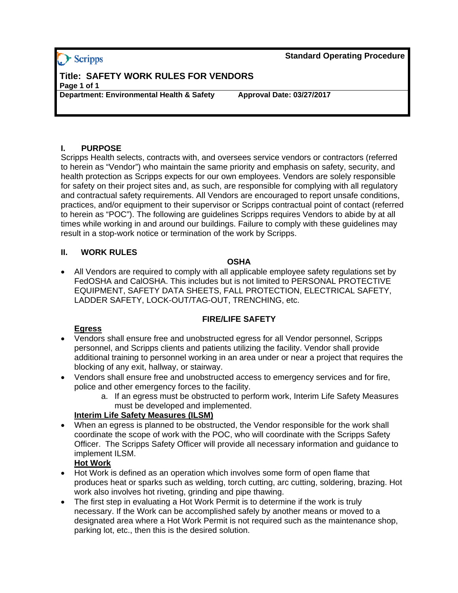## > Scripps

**Standard Operating Procedure**

# **Title: SAFETY WORK RULES FOR VENDORS Page 1 of 1**

**Department: Environmental Health & Safety Approval Date: 03/27/2017** 

#### **I. PURPOSE**

Scripps Health selects, contracts with, and oversees service vendors or contractors (referred to herein as "Vendor") who maintain the same priority and emphasis on safety, security, and health protection as Scripps expects for our own employees. Vendors are solely responsible for safety on their project sites and, as such, are responsible for complying with all regulatory and contractual safety requirements. All Vendors are encouraged to report unsafe conditions, practices, and/or equipment to their supervisor or Scripps contractual point of contact (referred to herein as "POC"). The following are guidelines Scripps requires Vendors to abide by at all times while working in and around our buildings. Failure to comply with these guidelines may result in a stop-work notice or termination of the work by Scripps.

#### **II. WORK RULES**

#### **OSHA**

 All Vendors are required to comply with all applicable employee safety regulations set by FedOSHA and CalOSHA. This includes but is not limited to PERSONAL PROTECTIVE EQUIPMENT, SAFETY DATA SHEETS, FALL PROTECTION, ELECTRICAL SAFETY, LADDER SAFETY, LOCK-OUT/TAG-OUT, TRENCHING, etc.

## **FIRE/LIFE SAFETY**

## **Egress**

- Vendors shall ensure free and unobstructed egress for all Vendor personnel, Scripps personnel, and Scripps clients and patients utilizing the facility. Vendor shall provide additional training to personnel working in an area under or near a project that requires the blocking of any exit, hallway, or stairway.
- Vendors shall ensure free and unobstructed access to emergency services and for fire, police and other emergency forces to the facility.
	- a. If an egress must be obstructed to perform work, Interim Life Safety Measures must be developed and implemented.

#### **Interim Life Safety Measures (ILSM)**

 When an egress is planned to be obstructed, the Vendor responsible for the work shall coordinate the scope of work with the POC, who will coordinate with the Scripps Safety Officer. The Scripps Safety Officer will provide all necessary information and guidance to implement ILSM.

## **Hot Work**

- Hot Work is defined as an operation which involves some form of open flame that produces heat or sparks such as welding, torch cutting, arc cutting, soldering, brazing. Hot work also involves hot riveting, grinding and pipe thawing.
- The first step in evaluating a Hot Work Permit is to determine if the work is truly necessary. If the Work can be accomplished safely by another means or moved to a designated area where a Hot Work Permit is not required such as the maintenance shop, parking lot, etc., then this is the desired solution.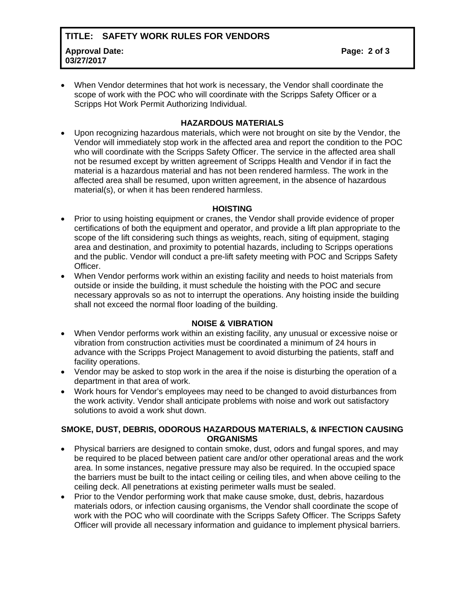## **TITLE: SAFETY WORK RULES FOR VENDORS Approval Date: 03/27/2017**

 When Vendor determines that hot work is necessary, the Vendor shall coordinate the scope of work with the POC who will coordinate with the Scripps Safety Officer or a Scripps Hot Work Permit Authorizing Individual.

#### **HAZARDOUS MATERIALS**

 Upon recognizing hazardous materials, which were not brought on site by the Vendor, the Vendor will immediately stop work in the affected area and report the condition to the POC who will coordinate with the Scripps Safety Officer. The service in the affected area shall not be resumed except by written agreement of Scripps Health and Vendor if in fact the material is a hazardous material and has not been rendered harmless. The work in the affected area shall be resumed, upon written agreement, in the absence of hazardous material(s), or when it has been rendered harmless.

#### **HOISTING**

- Prior to using hoisting equipment or cranes, the Vendor shall provide evidence of proper certifications of both the equipment and operator, and provide a lift plan appropriate to the scope of the lift considering such things as weights, reach, siting of equipment, staging area and destination, and proximity to potential hazards, including to Scripps operations and the public. Vendor will conduct a pre-lift safety meeting with POC and Scripps Safety Officer.
- When Vendor performs work within an existing facility and needs to hoist materials from outside or inside the building, it must schedule the hoisting with the POC and secure necessary approvals so as not to interrupt the operations. Any hoisting inside the building shall not exceed the normal floor loading of the building.

#### **NOISE & VIBRATION**

- When Vendor performs work within an existing facility, any unusual or excessive noise or vibration from construction activities must be coordinated a minimum of 24 hours in advance with the Scripps Project Management to avoid disturbing the patients, staff and facility operations.
- Vendor may be asked to stop work in the area if the noise is disturbing the operation of a department in that area of work.
- Work hours for Vendor's employees may need to be changed to avoid disturbances from the work activity. Vendor shall anticipate problems with noise and work out satisfactory solutions to avoid a work shut down.

#### **SMOKE, DUST, DEBRIS, ODOROUS HAZARDOUS MATERIALS, & INFECTION CAUSING ORGANISMS**

- Physical barriers are designed to contain smoke, dust, odors and fungal spores, and may be required to be placed between patient care and/or other operational areas and the work area. In some instances, negative pressure may also be required. In the occupied space the barriers must be built to the intact ceiling or ceiling tiles, and when above ceiling to the ceiling deck. All penetrations at existing perimeter walls must be sealed.
- Prior to the Vendor performing work that make cause smoke, dust, debris, hazardous materials odors, or infection causing organisms, the Vendor shall coordinate the scope of work with the POC who will coordinate with the Scripps Safety Officer. The Scripps Safety Officer will provide all necessary information and guidance to implement physical barriers.